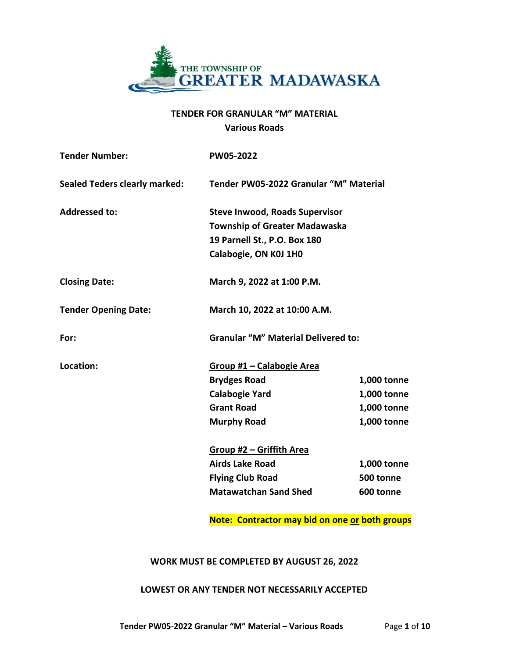

# **TENDER FOR GRANULAR "M" MATERIAL Various Roads**

| <b>Tender Number:</b>                | PW05-2022                                  |             |  |  |
|--------------------------------------|--------------------------------------------|-------------|--|--|
| <b>Sealed Teders clearly marked:</b> | Tender PW05-2022 Granular "M" Material     |             |  |  |
| <b>Addressed to:</b>                 | <b>Steve Inwood, Roads Supervisor</b>      |             |  |  |
|                                      | <b>Township of Greater Madawaska</b>       |             |  |  |
|                                      | 19 Parnell St., P.O. Box 180               |             |  |  |
|                                      | Calabogie, ON K0J 1H0                      |             |  |  |
| <b>Closing Date:</b>                 | March 9, 2022 at 1:00 P.M.                 |             |  |  |
| <b>Tender Opening Date:</b>          | March 10, 2022 at 10:00 A.M.               |             |  |  |
| For:                                 | <b>Granular "M" Material Delivered to:</b> |             |  |  |
| Location:                            | Group #1 - Calabogie Area                  |             |  |  |
|                                      | <b>Brydges Road</b>                        | 1,000 tonne |  |  |
|                                      | <b>Calabogie Yard</b>                      | 1,000 tonne |  |  |
|                                      | <b>Grant Road</b>                          | 1,000 tonne |  |  |
|                                      | <b>Murphy Road</b>                         | 1,000 tonne |  |  |
|                                      | <u><b>Group #2 - Griffith Area</b></u>     |             |  |  |
|                                      | <b>Airds Lake Road</b>                     | 1,000 tonne |  |  |
|                                      | <b>Flying Club Road</b>                    | 500 tonne   |  |  |
|                                      | <b>Matawatchan Sand Shed</b>               | 600 tonne   |  |  |
|                                      |                                            |             |  |  |

**Note: Contractor may bid on one or both groups**

## **WORK MUST BE COMPLETED BY AUGUST 26, 2022**

## **LOWEST OR ANY TENDER NOT NECESSARILY ACCEPTED**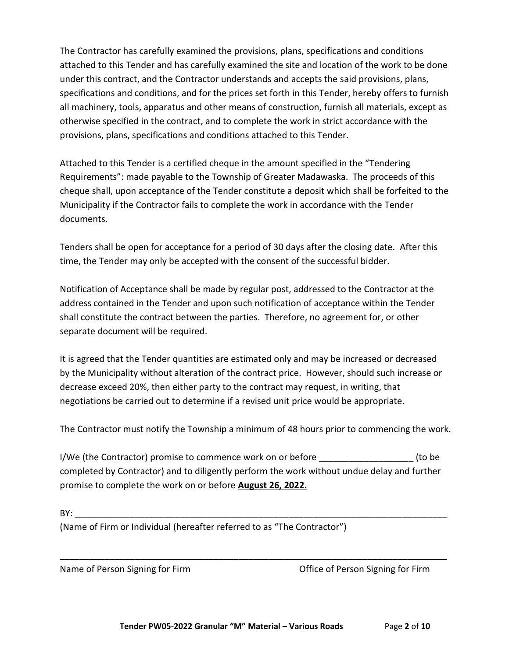The Contractor has carefully examined the provisions, plans, specifications and conditions attached to this Tender and has carefully examined the site and location of the work to be done under this contract, and the Contractor understands and accepts the said provisions, plans, specifications and conditions, and for the prices set forth in this Tender, hereby offers to furnish all machinery, tools, apparatus and other means of construction, furnish all materials, except as otherwise specified in the contract, and to complete the work in strict accordance with the provisions, plans, specifications and conditions attached to this Tender.

Attached to this Tender is a certified cheque in the amount specified in the "Tendering Requirements": made payable to the Township of Greater Madawaska. The proceeds of this cheque shall, upon acceptance of the Tender constitute a deposit which shall be forfeited to the Municipality if the Contractor fails to complete the work in accordance with the Tender documents.

Tenders shall be open for acceptance for a period of 30 days after the closing date. After this time, the Tender may only be accepted with the consent of the successful bidder.

Notification of Acceptance shall be made by regular post, addressed to the Contractor at the address contained in the Tender and upon such notification of acceptance within the Tender shall constitute the contract between the parties. Therefore, no agreement for, or other separate document will be required.

It is agreed that the Tender quantities are estimated only and may be increased or decreased by the Municipality without alteration of the contract price. However, should such increase or decrease exceed 20%, then either party to the contract may request, in writing, that negotiations be carried out to determine if a revised unit price would be appropriate.

The Contractor must notify the Township a minimum of 48 hours prior to commencing the work.

I/We (the Contractor) promise to commence work on or before  $\qquad \qquad$  (to be completed by Contractor) and to diligently perform the work without undue delay and further promise to complete the work on or before **August 26, 2022.**

\_\_\_\_\_\_\_\_\_\_\_\_\_\_\_\_\_\_\_\_\_\_\_\_\_\_\_\_\_\_\_\_\_\_\_\_\_\_\_\_\_\_\_\_\_\_\_\_\_\_\_\_\_\_\_\_\_\_\_\_\_\_\_\_\_\_\_\_\_\_\_\_\_\_\_\_\_\_

| D)<br>__ |  |  |
|----------|--|--|
|          |  |  |

(Name of Firm or Individual (hereafter referred to as "The Contractor")

Name of Person Signing for Firm Office of Person Signing for Firm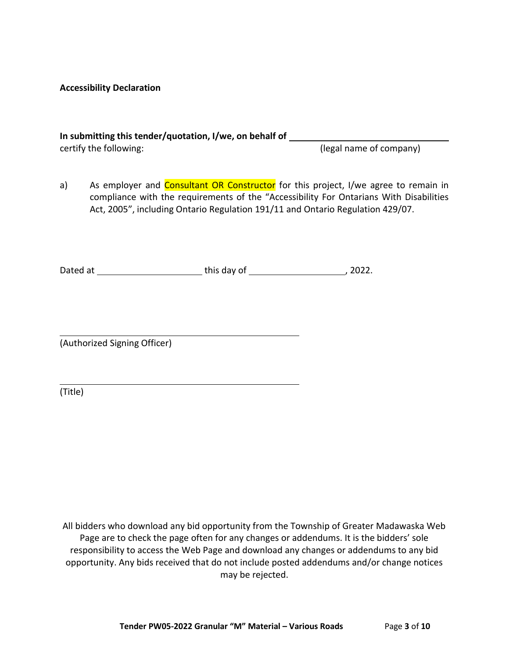#### **Accessibility Declaration**

# **In submitting this tender/quotation, I/we, on behalf of**  certify the following:  $($ legal name of company)

a) As employer and Consultant OR Constructor for this project, I/we agree to remain in compliance with the requirements of the "Accessibility For Ontarians With Disabilities Act, 2005", including Ontario Regulation 191/11 and Ontario Regulation 429/07.

Dated at this day of , 2022.

(Authorized Signing Officer)

(Title)

All bidders who download any bid opportunity from the Township of Greater Madawaska Web Page are to check the page often for any changes or addendums. It is the bidders' sole responsibility to access the Web Page and download any changes or addendums to any bid opportunity. Any bids received that do not include posted addendums and/or change notices may be rejected.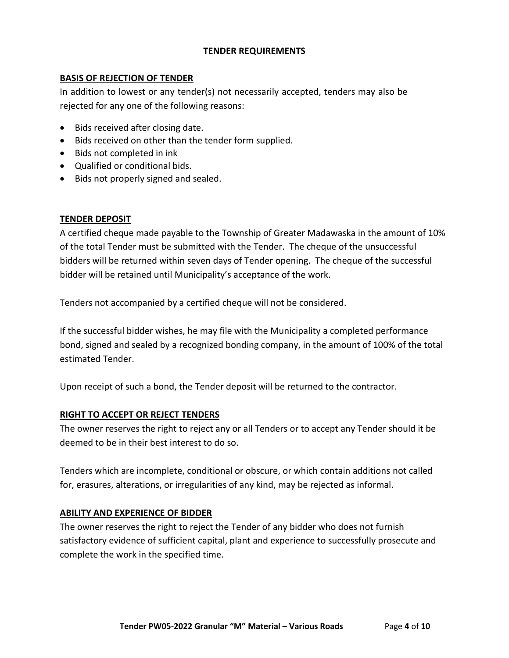# **TENDER REQUIREMENTS**

# **BASIS OF REJECTION OF TENDER**

In addition to lowest or any tender(s) not necessarily accepted, tenders may also be rejected for any one of the following reasons:

- Bids received after closing date.
- Bids received on other than the tender form supplied.
- Bids not completed in ink
- Qualified or conditional bids.
- Bids not properly signed and sealed.

# **TENDER DEPOSIT**

A certified cheque made payable to the Township of Greater Madawaska in the amount of 10% of the total Tender must be submitted with the Tender. The cheque of the unsuccessful bidders will be returned within seven days of Tender opening. The cheque of the successful bidder will be retained until Municipality's acceptance of the work.

Tenders not accompanied by a certified cheque will not be considered.

If the successful bidder wishes, he may file with the Municipality a completed performance bond, signed and sealed by a recognized bonding company, in the amount of 100% of the total estimated Tender.

Upon receipt of such a bond, the Tender deposit will be returned to the contractor.

## **RIGHT TO ACCEPT OR REJECT TENDERS**

The owner reserves the right to reject any or all Tenders or to accept any Tender should it be deemed to be in their best interest to do so.

Tenders which are incomplete, conditional or obscure, or which contain additions not called for, erasures, alterations, or irregularities of any kind, may be rejected as informal.

## **ABILITY AND EXPERIENCE OF BIDDER**

The owner reserves the right to reject the Tender of any bidder who does not furnish satisfactory evidence of sufficient capital, plant and experience to successfully prosecute and complete the work in the specified time.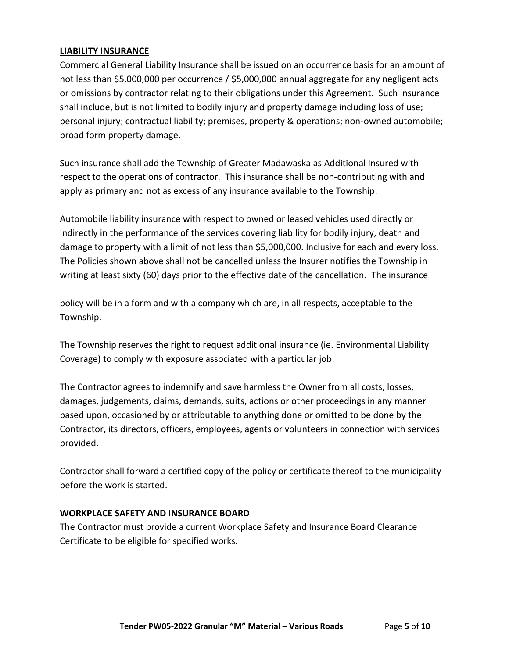# **LIABILITY INSURANCE**

Commercial General Liability Insurance shall be issued on an occurrence basis for an amount of not less than \$5,000,000 per occurrence / \$5,000,000 annual aggregate for any negligent acts or omissions by contractor relating to their obligations under this Agreement. Such insurance shall include, but is not limited to bodily injury and property damage including loss of use; personal injury; contractual liability; premises, property & operations; non-owned automobile; broad form property damage.

Such insurance shall add the Township of Greater Madawaska as Additional Insured with respect to the operations of contractor. This insurance shall be non-contributing with and apply as primary and not as excess of any insurance available to the Township.

Automobile liability insurance with respect to owned or leased vehicles used directly or indirectly in the performance of the services covering liability for bodily injury, death and damage to property with a limit of not less than \$5,000,000. Inclusive for each and every loss. The Policies shown above shall not be cancelled unless the Insurer notifies the Township in writing at least sixty (60) days prior to the effective date of the cancellation. The insurance

policy will be in a form and with a company which are, in all respects, acceptable to the Township.

The Township reserves the right to request additional insurance (ie. Environmental Liability Coverage) to comply with exposure associated with a particular job.

The Contractor agrees to indemnify and save harmless the Owner from all costs, losses, damages, judgements, claims, demands, suits, actions or other proceedings in any manner based upon, occasioned by or attributable to anything done or omitted to be done by the Contractor, its directors, officers, employees, agents or volunteers in connection with services provided.

Contractor shall forward a certified copy of the policy or certificate thereof to the municipality before the work is started.

## **WORKPLACE SAFETY AND INSURANCE BOARD**

The Contractor must provide a current Workplace Safety and Insurance Board Clearance Certificate to be eligible for specified works.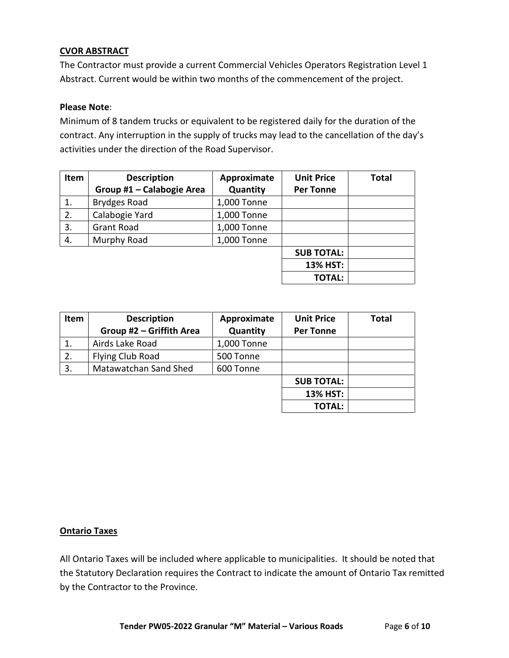# **CVOR ABSTRACT**

The Contractor must provide a current Commercial Vehicles Operators Registration Level 1 Abstract. Current would be within two months of the commencement of the project.

## **Please Note**:

Minimum of 8 tandem trucks or equivalent to be registered daily for the duration of the contract. Any interruption in the supply of trucks may lead to the cancellation of the day's activities under the direction of the Road Supervisor.

| Item | <b>Description</b>        | Approximate | <b>Unit Price</b> | <b>Total</b> |
|------|---------------------------|-------------|-------------------|--------------|
|      | Group #1 - Calabogie Area | Quantity    | <b>Per Tonne</b>  |              |
|      | <b>Brydges Road</b>       | 1,000 Tonne |                   |              |
| 2.   | Calabogie Yard            | 1,000 Tonne |                   |              |
| 3.   | <b>Grant Road</b>         | 1,000 Tonne |                   |              |
| 4.   | Murphy Road               | 1,000 Tonne |                   |              |
|      |                           |             | <b>SUB TOTAL:</b> |              |
|      |                           |             | 13% HST:          |              |
|      |                           |             | <b>TOTAL:</b>     |              |

| Item | <b>Description</b>       | Approximate | <b>Unit Price</b> | <b>Total</b> |
|------|--------------------------|-------------|-------------------|--------------|
|      | Group #2 - Griffith Area | Quantity    | <b>Per Tonne</b>  |              |
|      | Airds Lake Road          | 1,000 Tonne |                   |              |
| 2.   | Flying Club Road         | 500 Tonne   |                   |              |
| 3.   | Matawatchan Sand Shed    | 600 Tonne   |                   |              |
|      |                          |             | <b>SUB TOTAL:</b> |              |
|      |                          |             | 13% HST:          |              |
|      |                          |             | <b>TOTAL:</b>     |              |

## **Ontario Taxes**

All Ontario Taxes will be included where applicable to municipalities. It should be noted that the Statutory Declaration requires the Contract to indicate the amount of Ontario Tax remitted by the Contractor to the Province.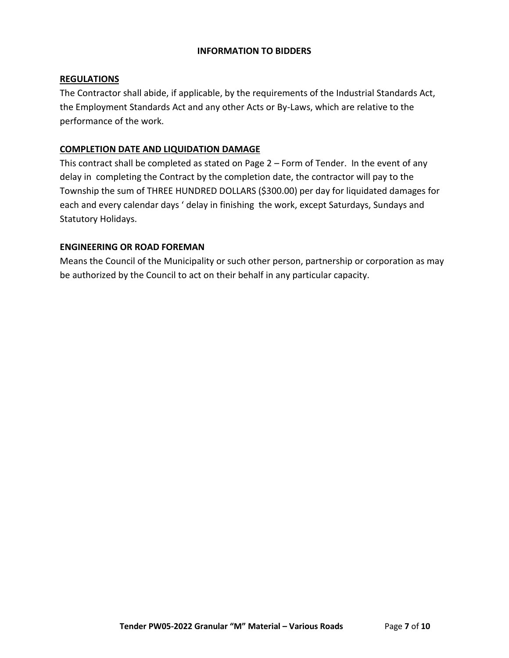## **INFORMATION TO BIDDERS**

## **REGULATIONS**

The Contractor shall abide, if applicable, by the requirements of the Industrial Standards Act, the Employment Standards Act and any other Acts or By-Laws, which are relative to the performance of the work.

# **COMPLETION DATE AND LIQUIDATION DAMAGE**

This contract shall be completed as stated on Page 2 – Form of Tender. In the event of any delay in completing the Contract by the completion date, the contractor will pay to the Township the sum of THREE HUNDRED DOLLARS (\$300.00) per day for liquidated damages for each and every calendar days ' delay in finishing the work, except Saturdays, Sundays and Statutory Holidays.

# **ENGINEERING OR ROAD FOREMAN**

Means the Council of the Municipality or such other person, partnership or corporation as may be authorized by the Council to act on their behalf in any particular capacity.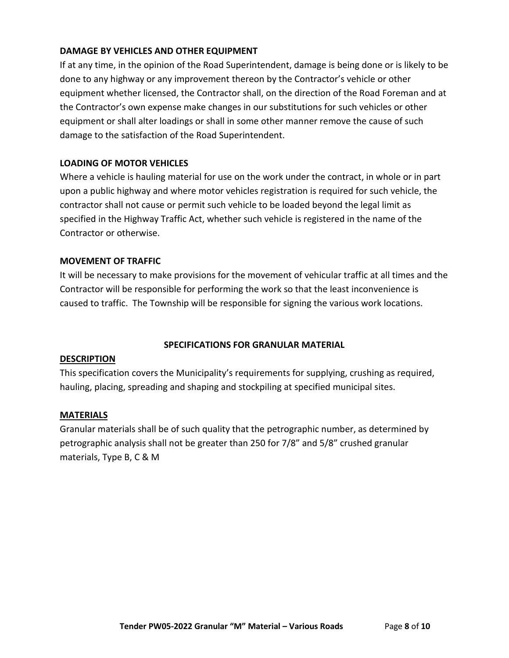# **DAMAGE BY VEHICLES AND OTHER EQUIPMENT**

If at any time, in the opinion of the Road Superintendent, damage is being done or is likely to be done to any highway or any improvement thereon by the Contractor's vehicle or other equipment whether licensed, the Contractor shall, on the direction of the Road Foreman and at the Contractor's own expense make changes in our substitutions for such vehicles or other equipment or shall alter loadings or shall in some other manner remove the cause of such damage to the satisfaction of the Road Superintendent.

#### **LOADING OF MOTOR VEHICLES**

Where a vehicle is hauling material for use on the work under the contract, in whole or in part upon a public highway and where motor vehicles registration is required for such vehicle, the contractor shall not cause or permit such vehicle to be loaded beyond the legal limit as specified in the Highway Traffic Act, whether such vehicle is registered in the name of the Contractor or otherwise.

#### **MOVEMENT OF TRAFFIC**

It will be necessary to make provisions for the movement of vehicular traffic at all times and the Contractor will be responsible for performing the work so that the least inconvenience is caused to traffic. The Township will be responsible for signing the various work locations.

## **SPECIFICATIONS FOR GRANULAR MATERIAL**

#### **DESCRIPTION**

This specification covers the Municipality's requirements for supplying, crushing as required, hauling, placing, spreading and shaping and stockpiling at specified municipal sites.

#### **MATERIALS**

Granular materials shall be of such quality that the petrographic number, as determined by petrographic analysis shall not be greater than 250 for 7/8" and 5/8" crushed granular materials, Type B, C & M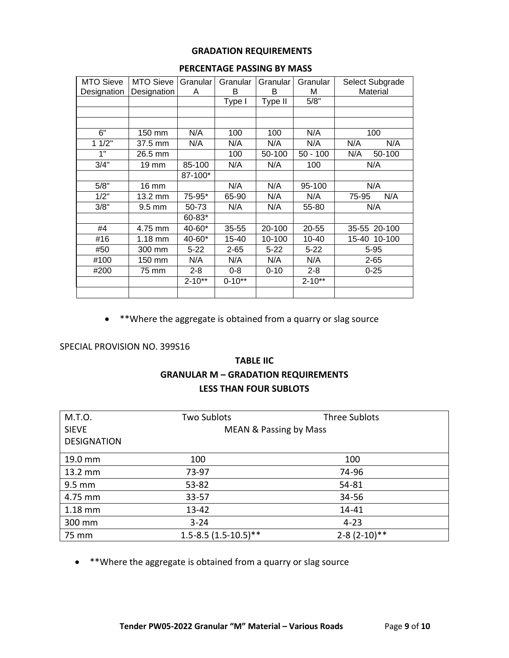#### **GRADATION REQUIREMENTS**

| <b>MTO Sieve</b> | <b>MTO Sieve</b> | Granular   | Granular   | Granular | Granular   | Select Subgrade |
|------------------|------------------|------------|------------|----------|------------|-----------------|
| Designation      | Designation      | A          | B          | В        | м          | Material        |
|                  |                  |            | Type I     | Type II  | 5/8"       |                 |
|                  |                  |            |            |          |            |                 |
|                  |                  |            |            |          |            |                 |
| 6"               | 150 mm           | N/A        | 100        | 100      | N/A        | 100             |
| 11/2"            | 37.5 mm          | N/A        | N/A        | N/A      | N/A        | N/A<br>N/A      |
| 1"               | 26.5 mm          |            | 100        | 50-100   | $50 - 100$ | N/A<br>50-100   |
| 3/4"             | 19 mm            | 85-100     | N/A        | N/A      | 100        | N/A             |
|                  |                  | 87-100*    |            |          |            |                 |
| 5/8"             | 16 mm            |            | N/A        | N/A      | 95-100     | N/A             |
| 1/2"             | 13.2 mm          | 75-95*     | 65-90      | N/A      | N/A        | N/A<br>75-95    |
| 3/8"             | 9.5 mm           | 50-73      | N/A        | N/A      | 55-80      | N/A             |
|                  |                  | 60-83*     |            |          |            |                 |
| #4               | 4.75 mm          | 40-60*     | $35 - 55$  | 20-100   | 20-55      | 35-55 20-100    |
| #16              | $1.18$ mm        | 40-60*     | 15-40      | 10-100   | 10-40      | 15-40 10-100    |
| #50              | 300 mm           | $5 - 22$   | $2 - 65$   | $5 - 22$ | $5 - 22$   | $5 - 95$        |
| #100             | 150 mm           | N/A        | N/A        | N/A      | N/A        | $2 - 65$        |
| #200             | 75 mm            | $2 - 8$    | $0 - 8$    | $0 - 10$ | $2 - 8$    | $0 - 25$        |
|                  |                  | $2 - 10**$ | $0 - 10**$ |          | $2 - 10**$ |                 |
|                  |                  |            |            |          |            |                 |

#### **PERCENTAGE PASSING BY MASS**

• \*\*Where the aggregate is obtained from a quarry or slag source

#### SPECIAL PROVISION NO. 399S16

# **TABLE IIC GRANULAR M – GRADATION REQUIREMENTS LESS THAN FOUR SUBLOTS**

| M.T.O.             | <b>Two Sublots</b>                | <b>Three Sublots</b> |  |
|--------------------|-----------------------------------|----------------------|--|
| <b>SIEVE</b>       | <b>MEAN &amp; Passing by Mass</b> |                      |  |
| <b>DESIGNATION</b> |                                   |                      |  |
| 19.0 mm            | 100                               | 100                  |  |
| 13.2 mm            | 73-97                             | 74-96                |  |
| $9.5 \text{ mm}$   | 53-82                             | 54-81                |  |
| 4.75 mm            | $33 - 57$                         | 34-56                |  |
| $1.18$ mm          | $13 - 42$                         | $14 - 41$            |  |
| 300 mm             | $3 - 24$                          | $4 - 23$             |  |
| 75 mm              | $1.5 - 8.5(1.5 - 10.5)$ **        | $2 - 8(2 - 10)**$    |  |

• \*\*Where the aggregate is obtained from a quarry or slag source